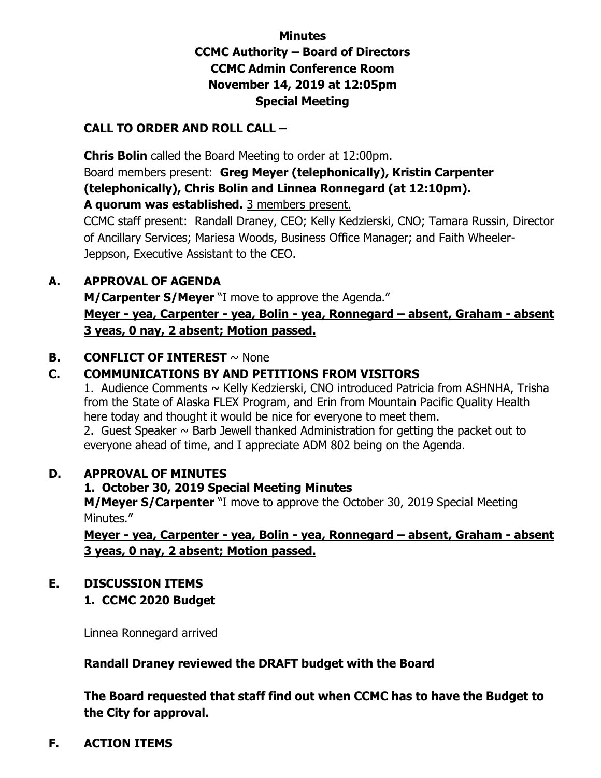# **Minutes CCMC Authority – Board of Directors CCMC Admin Conference Room November 14, 2019 at 12:05pm Special Meeting**

## **CALL TO ORDER AND ROLL CALL –**

 **Chris Bolin** called the Board Meeting to order at 12:00pm. Board members present: **Greg Meyer (telephonically), Kristin Carpenter (telephonically), Chris Bolin and Linnea Ronnegard (at 12:10pm). A quorum was established.** 3 members present.

CCMC staff present: Randall Draney, CEO; Kelly Kedzierski, CNO; Tamara Russin, Director of Ancillary Services; Mariesa Woods, Business Office Manager; and Faith Wheeler-Jeppson, Executive Assistant to the CEO.

### **A. APPROVAL OF AGENDA**

**M/Carpenter S/Meyer** "I move to approve the Agenda." **Meyer - yea, Carpenter - yea, Bolin - yea, Ronnegard – absent, Graham - absent 3 yeas, 0 nay, 2 absent; Motion passed.** 

### **B. CONFLICT OF INTEREST**  $\sim$  None

### **C. COMMUNICATIONS BY AND PETITIONS FROM VISITORS**

1. Audience Comments ~ Kelly Kedzierski, CNO introduced Patricia from ASHNHA, Trisha from the State of Alaska FLEX Program, and Erin from Mountain Pacific Quality Health here today and thought it would be nice for everyone to meet them.

2. Guest Speaker  $\sim$  Barb Jewell thanked Administration for getting the packet out to everyone ahead of time, and I appreciate ADM 802 being on the Agenda.

### **D. APPROVAL OF MINUTES**

### **1. October 30, 2019 Special Meeting Minutes**

**M/Meyer S/Carpenter** "I move to approve the October 30, 2019 Special Meeting Minutes."

**Meyer - yea, Carpenter - yea, Bolin - yea, Ronnegard – absent, Graham - absent 3 yeas, 0 nay, 2 absent; Motion passed.** 

### **E. DISCUSSION ITEMS**

### **1. CCMC 2020 Budget**

Linnea Ronnegard arrived

### **Randall Draney reviewed the DRAFT budget with the Board**

**The Board requested that staff find out when CCMC has to have the Budget to the City for approval.**

#### **F. ACTION ITEMS**